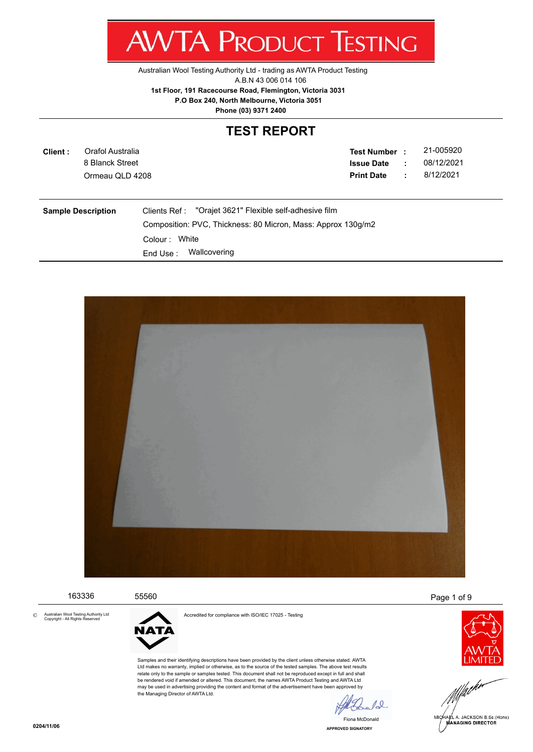Australian Wool Testing Authority Ltd - trading as AWTA Product Testing

A.B.N 43 006 014 106

**AWTA PRODUCT TESTING** 

**1st Floor, 191 Racecourse Road, Flemington, Victoria 3031**

 **P.O Box 240, North Melbourne, Victoria 3051**

**Phone (03) 9371 2400**

#### **TEST REPORT**

| Client:                                                                                                                                                                                              | Orafol Australia<br>8 Blanck Street<br>Ormeau QLD 4208 |  | <b>Test Number :</b><br><b>Issue Date</b><br><b>Print Date</b> | $\mathbb{R}^n$<br>÷ | 21-005920<br>08/12/2021<br>8/12/2021 |
|------------------------------------------------------------------------------------------------------------------------------------------------------------------------------------------------------|--------------------------------------------------------|--|----------------------------------------------------------------|---------------------|--------------------------------------|
| "Orajet 3621" Flexible self-adhesive film<br><b>Sample Description</b><br>Clients Ref :<br>Composition: PVC, Thickness: 80 Micron, Mass: Approx 130q/m2<br>Colour: White<br>Wallcovering<br>End Use: |                                                        |  |                                                                |                     |                                      |



163336 55560 Page 1 of 9

Australian Wool Testing Authority Ltd Copyright - All Rights Reserved ©



the Managing Director of AWTA Ltd.

Accredited for compliance with ISO/IEC 17025 - Testing

Samples and their identifying descriptions have been provided by the client unless otherwise stated. AWTA Ltd makes no warranty, implied or otherwise, as to the source of the tested samples. The above test results relate only to the sample or samples tested. This document shall not be reproduced except in full and shall be rendered void if amended or altered. This document, the names AWTA Product Testing and AWTA Ltd may be used in advertising providing the content and format of the advertisement have been approved by



.<br>@L A. JACKSON B.Sc.(Hons)<br>**MANAGING DIRECTOR** 

**APPROVED SIGNATORY** Fiona McDonald

12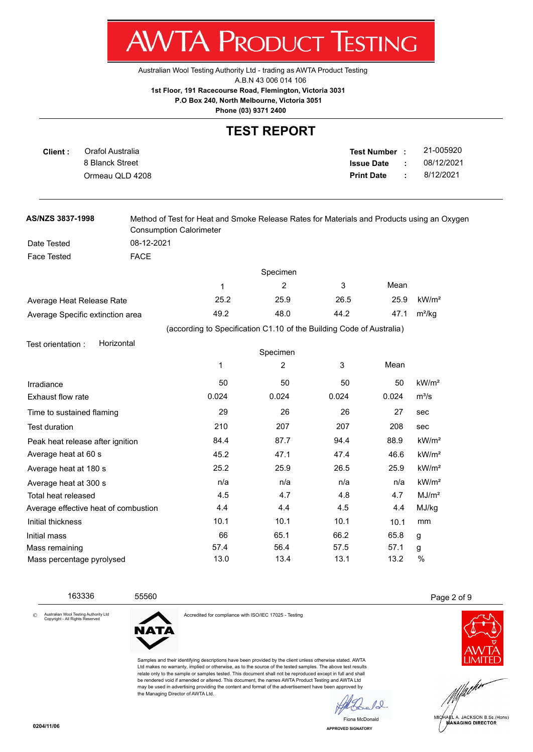Australian Wool Testing Authority Ltd - trading as AWTA Product Testing

A.B.N 43 006 014 106

**AWTA PRODUCT TESTING** 

**1st Floor, 191 Racecourse Road, Flemington, Victoria 3031**

 **P.O Box 240, North Melbourne, Victoria 3051**

**Phone (03) 9371 2400**

#### **TEST REPORT**

| Client : | Orafol Australia | Test Number:      | 21-005920  |
|----------|------------------|-------------------|------------|
|          | 8 Blanck Street  | <b>Issue Date</b> | 08/12/2021 |
|          | Ormeau QLD 4208  | <b>Print Date</b> | 8/12/2021  |
|          |                  |                   |            |

| AS/NZS 3837-1998                 | Method of Test for Heat and Smoke Release Rates for Materials and Products using an Oxygen<br><b>Consumption Calorimeter</b> |        |                                                                      |        |        |                   |
|----------------------------------|------------------------------------------------------------------------------------------------------------------------------|--------|----------------------------------------------------------------------|--------|--------|-------------------|
| Date Tested                      | 08-12-2021                                                                                                                   |        |                                                                      |        |        |                   |
| <b>Face Tested</b>               | <b>FACE</b>                                                                                                                  |        |                                                                      |        |        |                   |
|                                  |                                                                                                                              |        | Specimen                                                             |        |        |                   |
|                                  |                                                                                                                              | 1      | 2                                                                    | 3      | Mean   |                   |
| Average Heat Release Rate        |                                                                                                                              | 25.2   | 25.9                                                                 | 26.5   | 25.9   | kW/m <sup>2</sup> |
| Average Specific extinction area |                                                                                                                              | 49.2   | 48.0                                                                 | 44.2   | 47.1   | $m^2/kq$          |
|                                  |                                                                                                                              |        | (according to Specification C1.10 of the Building Code of Australia) |        |        |                   |
| Test orientation:                | Horizontal                                                                                                                   |        |                                                                      |        |        |                   |
|                                  |                                                                                                                              |        | Specimen                                                             |        |        |                   |
|                                  |                                                                                                                              | 1      | 2                                                                    | 3      | Mean   |                   |
| Irradiance                       |                                                                                                                              | 50     | 50                                                                   | 50     | 50     | kW/m <sup>2</sup> |
| Exhaust flow rate                |                                                                                                                              | 0.024  | 0.024                                                                | 0.024  | 0.024  | $m^3/s$           |
|                                  |                                                                                                                              | $\sim$ | $\sim$                                                               | $\sim$ | $\sim$ |                   |

| Time to sustained flaming            | 29   | 26   | 26   | 27   | sec               |
|--------------------------------------|------|------|------|------|-------------------|
| <b>Test duration</b>                 | 210  | 207  | 207  | 208  | sec               |
| Peak heat release after ignition     | 84.4 | 87.7 | 94.4 | 88.9 | kW/m <sup>2</sup> |
| Average heat at 60 s                 | 45.2 | 47.1 | 47.4 | 46.6 | kW/m <sup>2</sup> |
| Average heat at 180 s                | 25.2 | 25.9 | 26.5 | 25.9 | kW/m <sup>2</sup> |
| Average heat at 300 s                | n/a  | n/a  | n/a  | n/a  | kW/m <sup>2</sup> |
| Total heat released                  | 4.5  | 4.7  | 4.8  | 4.7  | MJ/m <sup>2</sup> |
| Average effective heat of combustion | 4.4  | 4.4  | 4.5  | 4.4  | MJ/kg             |
| Initial thickness                    | 10.1 | 10.1 | 10.1 | 10.1 | mm                |
| Initial mass                         | 66   | 65.1 | 66.2 | 65.8 | g                 |
| Mass remaining                       | 57.4 | 56.4 | 57.5 | 57.1 | g                 |
| Mass percentage pyrolysed            | 13.0 | 13.4 | 13.1 | 13.2 | %                 |

Australian Wool Testing Authority Ltd Copyright - All Rights Reserved



Accredited for compliance with ISO/IEC 17025 - Testing

Samples and their identifying descriptions have been provided by the client unless otherwise stated. AWTA Ltd makes no warranty, implied or otherwise, as to the source of the tested samples. The above test results relate only to the sample or samples tested. This document shall not be reproduced except in full and shall be rendered void if amended or altered. This document, the names AWTA Product Testing and AWTA Ltd may be used in advertising providing the content and format of the advertisement have been approved by the Managing Director of AWTA Ltd.

10



163336 55560 Page 2 of 9





©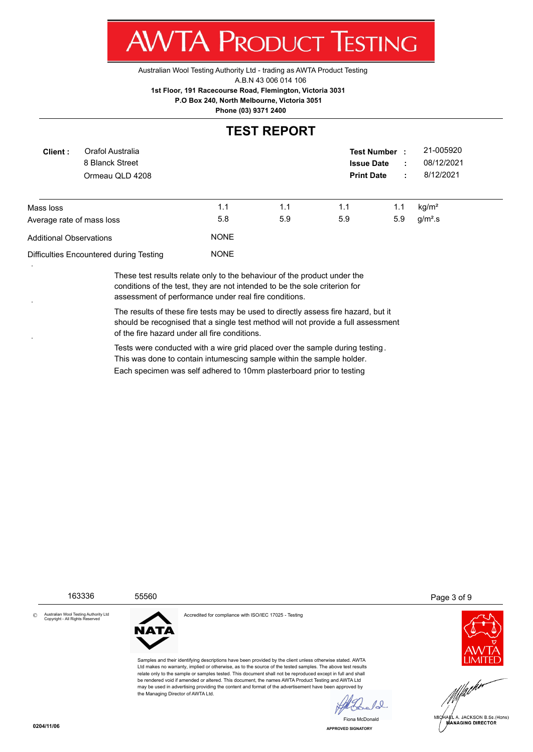Australian Wool Testing Authority Ltd - trading as AWTA Product Testing

A.B.N 43 006 014 106

**AWTA PRODUCT TESTING** 

**1st Floor, 191 Racecourse Road, Flemington, Victoria 3031**

 **P.O Box 240, North Melbourne, Victoria 3051**

**Phone (03) 9371 2400**

#### **TEST REPORT**

| Orafol Australia<br>Client:<br>8 Blanck Street<br>Ormeau QLD 4208 |  |                    |     | <b>Test Number</b><br><b>Issue Date</b><br><b>Print Date</b> |     | 21-005920<br>08/12/2021<br>8/12/2021 |
|-------------------------------------------------------------------|--|--------------------|-----|--------------------------------------------------------------|-----|--------------------------------------|
| Mass loss                                                         |  | 1.1                | 1.1 | 1.1                                                          | 1.1 | kg/m <sup>2</sup>                    |
| Average rate of mass loss<br>Additional Observations              |  | 5.8<br><b>NONE</b> | 5.9 | 5.9                                                          | 5.9 | $g/m2$ .s                            |
| Difficulties Encountered during Testing                           |  | <b>NONE</b>        |     |                                                              |     |                                      |

These test results relate only to the behaviour of the product under the conditions of the test, they are not intended to be the sole criterion for assessment of performance under real fire conditions.

The results of these fire tests may be used to directly assess fire hazard, but it should be recognised that a single test method will not provide a full assessment of the fire hazard under all fire conditions.

Tests were conducted with a wire grid placed over the sample during testing . This was done to contain intumescing sample within the sample holder. Each specimen was self adhered to 10mm plasterboard prior to testing

Australian Wool Testing Authority Ltd Copyright - All Rights Reserved



the Managing Director of AWTA Ltd.

Accredited for compliance with ISO/IEC 17025 - Testing

Samples and their identifying descriptions have been provided by the client unless otherwise stated. AWTA Ltd makes no warranty, implied or otherwise, as to the source of the tested samples. The above test results relate only to the sample or samples tested. This document shall not be reproduced except in full and shall be rendered void if amended or altered. This document, the names AWTA Product Testing and AWTA Ltd may be used in advertising providing the content and format of the advertisement have been approved by

163336 55560 Page 3 of 9





**APPROVED SIGNATORY** Fiona McDo

 $\sqrt{0}$ 

©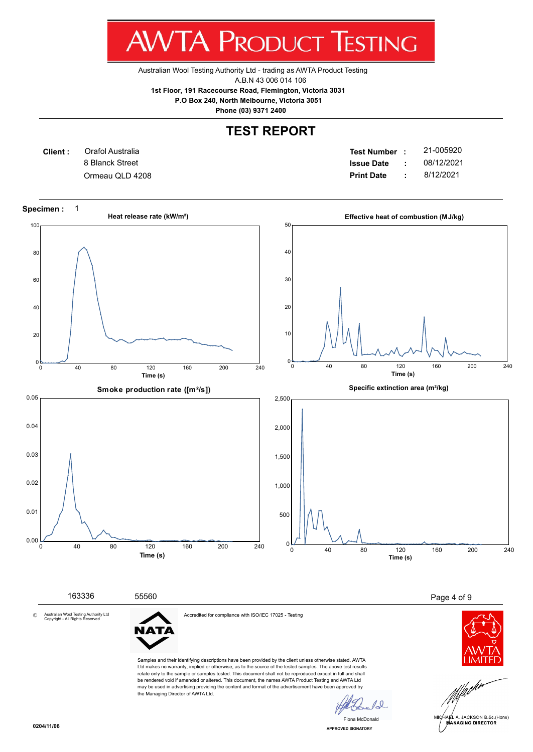Australian Wool Testing Authority Ltd - trading as AWTA Product Testing

A.B.N 43 006 014 106

**1st Floor, 191 Racecourse Road, Flemington, Victoria 3031**

 **P.O Box 240, North Melbourne, Victoria 3051**

**Phone (03) 9371 2400**

## **TEST REPORT**

**Client :** 8 Blanck Street Orafol Australia

**Test Number : Issue Date :** 21-005920 Ormeau QLD 4208 **Print Date :** 8/12/2021 08/12/2021

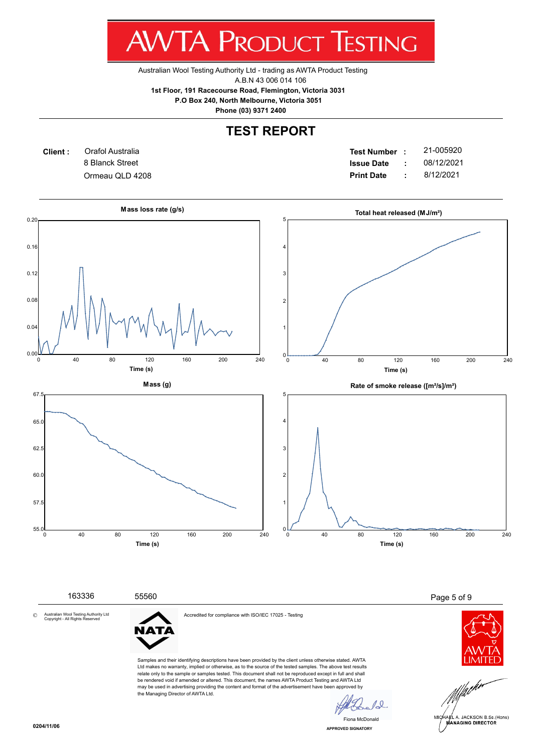Australian Wool Testing Authority Ltd - trading as AWTA Product Testing

A.B.N 43 006 014 106

**1st Floor, 191 Racecourse Road, Flemington, Victoria 3031**

 **P.O Box 240, North Melbourne, Victoria 3051**

**Phone (03) 9371 2400**

# **TEST REPORT**



**Test Number : Issue Date :** 21-005920 Ormeau QLD 4208 **Print Date :** 8/12/2021 08/12/2021



Australian Wool Testing Authority Ltd Copyright - All Rights Reserved ©



the Managing Director of AWTA Ltd.

Accredited for compliance with ISO/IEC 17025 - Testing

Samples and their identifying descriptions have been provided by the client unless otherwise stated. AWTA Ltd makes no warranty, implied or otherwise, as to the source of the tested samples. The above test results relate only to the sample or samples tested. This document shall not be reproduced except in full and shall be rendered void if amended or altered. This document, the names AWTA Product Testing and AWTA Ltd may be used in advertising providing the content and format of the advertisement have been approved by





**APPROVED SIGNATORY** Fiona McD

 $\overline{0}$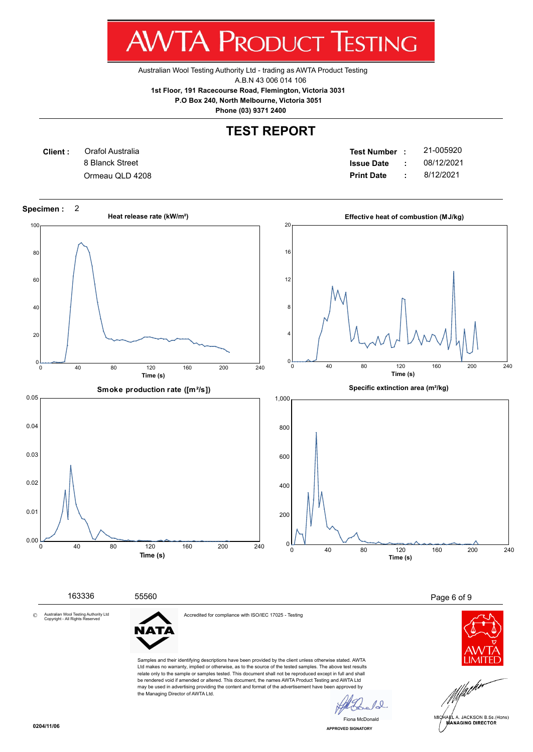Australian Wool Testing Authority Ltd - trading as AWTA Product Testing

A.B.N 43 006 014 106

**1st Floor, 191 Racecourse Road, Flemington, Victoria 3031**

 **P.O Box 240, North Melbourne, Victoria 3051**

**Phone (03) 9371 2400**

# **TEST REPORT**

**Client :** 8 Blanck Street Orafol Australia

**Test Number : Issue Date :** 21-005920 Ormeau QLD 4208 **Print Date :** 8/12/2021 08/12/2021

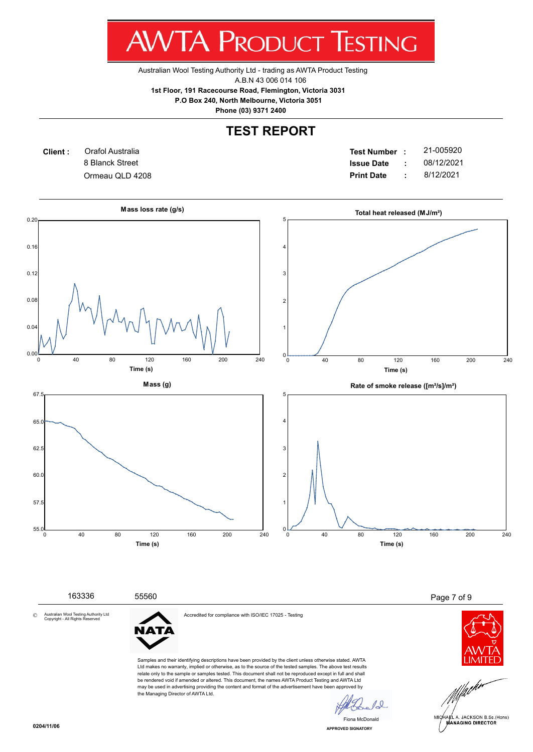Australian Wool Testing Authority Ltd - trading as AWTA Product Testing

A.B.N 43 006 014 106

**1st Floor, 191 Racecourse Road, Flemington, Victoria 3031**

 **P.O Box 240, North Melbourne, Victoria 3051**

**Phone (03) 9371 2400**

# **TEST REPORT**



**Test Number : Issue Date :** 21-005920 Ormeau QLD 4208 **Print Date :** 8/12/2021 08/12/2021



Ltd makes no warranty, implied or otherwise, as to the source of the tested samples. The above test results relate only to the sample or samples tested. This document shall not be reproduced except in full and shall be rendered void if amended or altered. This document, the names AWTA Product Testing and AWTA Ltd may be used in advertising providing the content and format of the advertisement have been approved by the Managing Director of AWTA Ltd.

 $\overline{0}$ Fiona McD

**APPROVED SIGNATORY**

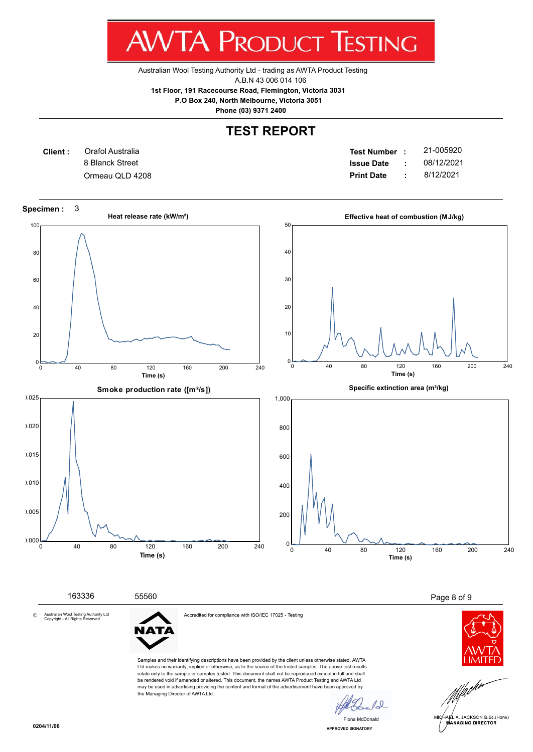Australian Wool Testing Authority Ltd - trading as AWTA Product Testing

A.B.N 43 006 014 106

**1st Floor, 191 Racecourse Road, Flemington, Victoria 3031**

 **P.O Box 240, North Melbourne, Victoria 3051**

**Phone (03) 9371 2400**

# **TEST REPORT**

**Client :** 8 Blanck Street Orafol Australia

**Test Number : Issue Date :** 21-005920 Ormeau QLD 4208 **Print Date :** 8/12/2021 08/12/2021